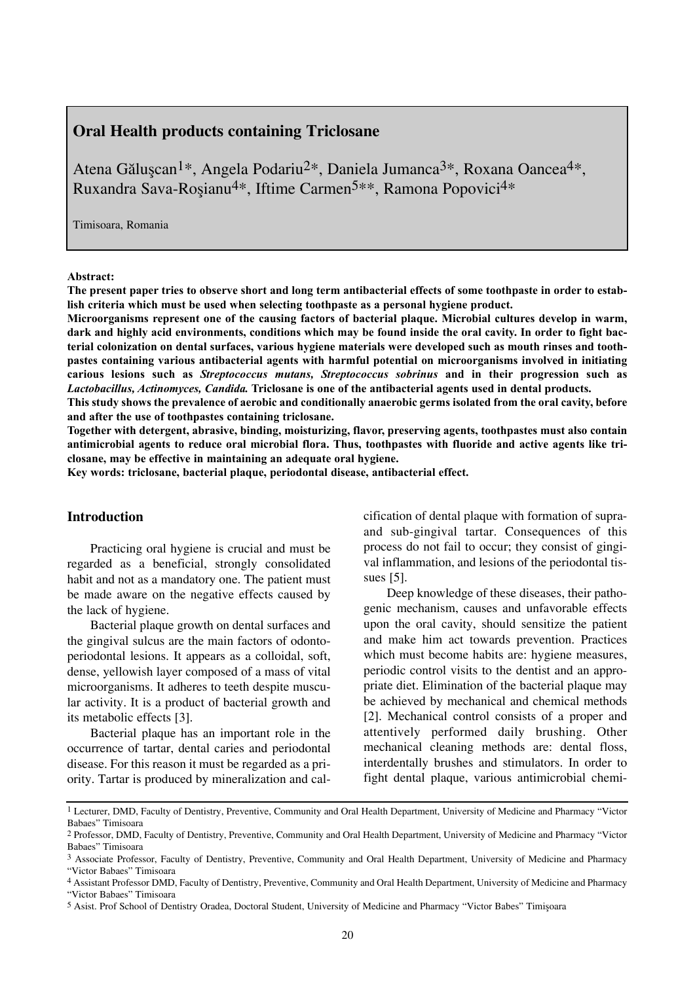# **Oral Health products containing Triclosane**

Atena Găluscan<sup>1\*</sup>, Angela Podariu<sup>2\*</sup>, Daniela Jumanca<sup>3\*</sup>, Roxana Oancea<sup>4\*</sup>, Ruxandra Sava-Rosianu<sup>4\*</sup>, Iftime Carmen<sup>5\*\*</sup>, Ramona Popovici<sup>4\*</sup>

Timisoara, Romania

#### **Abstract:**

**The present paper tries to observe short and long term antibacterial effects of some toothpaste in order to establish criteria which must be used when selecting toothpaste as a personal hygiene product.**

**Microorganisms represent one of the causing factors of bacterial plaque. Microbial cultures develop in warm, dark and highly acid environments, conditions which may be found inside the oral cavity. In order to fight bacterial colonization on dental surfaces, various hygiene materials were developed such as mouth rinses and toothpastes containing various antibacterial agents with harmful potential on microorganisms involved in initiating carious lesions such as** *Streptococcus mutans, Streptococcus sobrinus* **and in their progression such as** *Lactobacillus, Actinomyces, Candida.* **Triclosane is one of the antibacterial agents used in dental products.**

**This study shows the prevalence of aerobic and conditionally anaerobic germs isolated from the oral cavity, before and after the use of toothpastes containing triclosane.** 

**Together with detergent, abrasive, binding, moisturizing, flavor, preserving agents, toothpastes must also contain antimicrobial agents to reduce oral microbial flora. Thus, toothpastes with fluoride and active agents like triclosane, may be effective in maintaining an adequate oral hygiene.**

**Key words: triclosane, bacterial plaque, periodontal disease, antibacterial effect.**

### **Introduction**

Practicing oral hygiene is crucial and must be regarded as a beneficial, strongly consolidated habit and not as a mandatory one. The patient must be made aware on the negative effects caused by the lack of hygiene.

Bacterial plaque growth on dental surfaces and the gingival sulcus are the main factors of odontoperiodontal lesions. It appears as a colloidal, soft, dense, yellowish layer composed of a mass of vital microorganisms. It adheres to teeth despite muscular activity. It is a product of bacterial growth and its metabolic effects [3].

Bacterial plaque has an important role in the occurrence of tartar, dental caries and periodontal disease. For this reason it must be regarded as a priority. Tartar is produced by mineralization and calcification of dental plaque with formation of supraand sub-gingival tartar. Consequences of this process do not fail to occur; they consist of gingival inflammation, and lesions of the periodontal tissues [5].

Deep knowledge of these diseases, their pathogenic mechanism, causes and unfavorable effects upon the oral cavity, should sensitize the patient and make him act towards prevention. Practices which must become habits are: hygiene measures, periodic control visits to the dentist and an appropriate diet. Elimination of the bacterial plaque may be achieved by mechanical and chemical methods [2]. Mechanical control consists of a proper and attentively performed daily brushing. Other mechanical cleaning methods are: dental floss, interdentally brushes and stimulators. In order to fight dental plaque, various antimicrobial chemi-

<sup>1</sup> Lecturer, DMD, Faculty of Dentistry, Preventive, Community and Oral Health Department, University of Medicine and Pharmacy "Victor Babaes" Timisoara

<sup>2</sup> Professor, DMD, Faculty of Dentistry, Preventive, Community and Oral Health Department, University of Medicine and Pharmacy "Victor Babaes" Timisoara

<sup>3</sup> Associate Professor, Faculty of Dentistry, Preventive, Community and Oral Health Department, University of Medicine and Pharmacy "Victor Babaes" Timisoara

<sup>4</sup> Assistant Professor DMD, Faculty of Dentistry, Preventive, Community and Oral Health Department, University of Medicine and Pharmacy

<sup>&</sup>quot;Victor Babaes" Timisoara

<sup>5</sup> Asist. Prof School of Dentistry Oradea, Doctoral Student, University of Medicine and Pharmacy "Victor Babes" Timișoara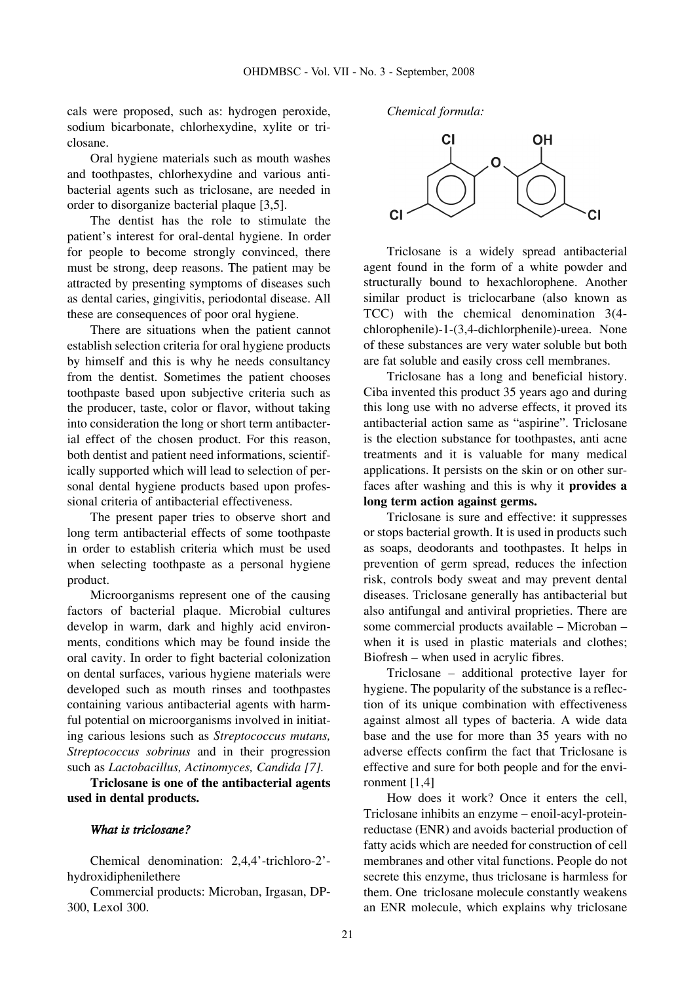cals were proposed, such as: hydrogen peroxide, sodium bicarbonate, chlorhexydine, xylite or triclosane.

Oral hygiene materials such as mouth washes and toothpastes, chlorhexydine and various antibacterial agents such as triclosane, are needed in order to disorganize bacterial plaque [3,5].

The dentist has the role to stimulate the patient's interest for oral-dental hygiene. In order for people to become strongly convinced, there must be strong, deep reasons. The patient may be attracted by presenting symptoms of diseases such as dental caries, gingivitis, periodontal disease. All these are consequences of poor oral hygiene.

There are situations when the patient cannot establish selection criteria for oral hygiene products by himself and this is why he needs consultancy from the dentist. Sometimes the patient chooses toothpaste based upon subjective criteria such as the producer, taste, color or flavor, without taking into consideration the long or short term antibacterial effect of the chosen product. For this reason, both dentist and patient need informations, scientifically supported which will lead to selection of personal dental hygiene products based upon professional criteria of antibacterial effectiveness.

The present paper tries to observe short and long term antibacterial effects of some toothpaste in order to establish criteria which must be used when selecting toothpaste as a personal hygiene product.

Microorganisms represent one of the causing factors of bacterial plaque. Microbial cultures develop in warm, dark and highly acid environments, conditions which may be found inside the oral cavity. In order to fight bacterial colonization on dental surfaces, various hygiene materials were developed such as mouth rinses and toothpastes containing various antibacterial agents with harmful potential on microorganisms involved in initiating carious lesions such as *Streptococcus mutans, Streptococcus sobrinus* and in their progression such as *Lactobacillus, Actinomyces, Candida [7].*

**Triclosane is one of the antibacterial agents used in dental products.**

#### *What is triclosane?*

Chemical denomination: 2,4,4'-trichloro-2' hydroxidiphenilethere

Commercial products: Microban, Irgasan, DP-300, Lexol 300.

*Chemical formula:*



Triclosane is a widely spread antibacterial agent found in the form of a white powder and structurally bound to hexachlorophene. Another similar product is triclocarbane (also known as TCC) with the chemical denomination 3(4 chlorophenile)-1-(3,4-dichlorphenile)-ureea. None of these substances are very water soluble but both are fat soluble and easily cross cell membranes.

Triclosane has a long and beneficial history. Ciba invented this product 35 years ago and during this long use with no adverse effects, it proved its antibacterial action same as "aspirine". Triclosane is the election substance for toothpastes, anti acne treatments and it is valuable for many medical applications. It persists on the skin or on other surfaces after washing and this is why it **provides a long term action against germs.**

Triclosane is sure and effective: it suppresses or stops bacterial growth. It is used in products such as soaps, deodorants and toothpastes. It helps in prevention of germ spread, reduces the infection risk, controls body sweat and may prevent dental diseases. Triclosane generally has antibacterial but also antifungal and antiviral proprieties. There are some commercial products available – Microban – when it is used in plastic materials and clothes; Biofresh – when used in acrylic fibres.

Triclosane – additional protective layer for hygiene. The popularity of the substance is a reflection of its unique combination with effectiveness against almost all types of bacteria. A wide data base and the use for more than 35 years with no adverse effects confirm the fact that Triclosane is effective and sure for both people and for the environment [1,4]

How does it work? Once it enters the cell, Triclosane inhibits an enzyme – enoil-acyl-proteinreductase (ENR) and avoids bacterial production of fatty acids which are needed for construction of cell membranes and other vital functions. People do not secrete this enzyme, thus triclosane is harmless for them. One triclosane molecule constantly weakens an ENR molecule, which explains why triclosane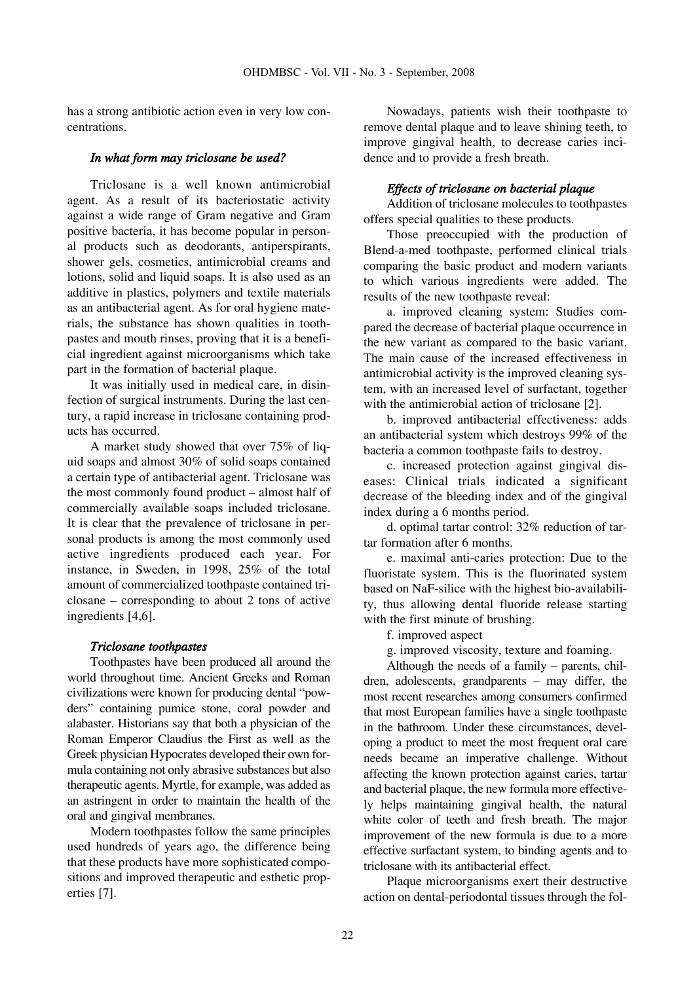has a strong antibiotic action even in very low concentrations.

#### *In what form may triclosane be used?*

Triclosane is a well known antimicrobial agent. As a result of its bacteriostatic activity against a wide range of Gram negative and Gram positive bacteria, it has become popular in personal products such as deodorants, antiperspirants, shower gels, cosmetics, antimicrobial creams and lotions, solid and liquid soaps. It is also used as an additive in plastics, polymers and textile materials as an antibacterial agent. As for oral hygiene materials, the substance has shown qualities in toothpastes and mouth rinses, proving that it is a beneficial ingredient against microorganisms which take part in the formation of bacterial plaque.

It was initially used in medical care, in disinfection of surgical instruments. During the last century, a rapid increase in triclosane containing products has occurred.

A market study showed that over 75% of liquid soaps and almost 30% of solid soaps contained a certain type of antibacterial agent. Triclosane was the most commonly found product – almost half of commercially available soaps included triclosane. It is clear that the prevalence of triclosane in personal products is among the most commonly used active ingredients produced each year. For instance, in Sweden, in 1998, 25% of the total amount of commercialized toothpaste contained triclosane – corresponding to about 2 tons of active ingredients [4,6].

#### *Triclosane toothpastes*

Toothpastes have been produced all around the world throughout time. Ancient Greeks and Roman civilizations were known for producing dental "powders" containing pumice stone, coral powder and alabaster. Historians say that both a physician of the Roman Emperor Claudius the First as well as the Greek physician Hypocrates developed their own formula containing not only abrasive substances but also therapeutic agents. Myrtle, for example, was added as an astringent in order to maintain the health of the oral and gingival membranes.

Modern toothpastes follow the same principles used hundreds of years ago, the difference being that these products have more sophisticated compositions and improved therapeutic and esthetic properties [7].

Nowadays, patients wish their toothpaste to remove dental plaque and to leave shining teeth, to improve gingival health, to decrease caries incidence and to provide a fresh breath.

### *Effects of triclosane on bacterial plaque*

Addition of triclosane molecules to toothpastes offers special qualities to these products.

Those preoccupied with the production of Blend-a-med toothpaste, performed clinical trials comparing the basic product and modern variants to which various ingredients were added. The results of the new toothpaste reveal:

a. improved cleaning system: Studies compared the decrease of bacterial plaque occurrence in the new variant as compared to the basic variant. The main cause of the increased effectiveness in antimicrobial activity is the improved cleaning system, with an increased level of surfactant, together with the antimicrobial action of triclosane [2].

b. improved antibacterial effectiveness: adds an antibacterial system which destroys 99% of the bacteria a common toothpaste fails to destroy.

c. increased protection against gingival diseases: Clinical trials indicated a significant decrease of the bleeding index and of the gingival index during a 6 months period.

d. optimal tartar control: 32% reduction of tartar formation after 6 months.

e. maximal anti-caries protection: Due to the fluoristate system. This is the fluorinated system based on NaF-silice with the highest bio-availability, thus allowing dental fluoride release starting with the first minute of brushing.

f. improved aspect

g. improved viscosity, texture and foaming.

Although the needs of a family – parents, children, adolescents, grandparents – may differ, the most recent researches among consumers confirmed that most European families have a single toothpaste in the bathroom. Under these circumstances, developing a product to meet the most frequent oral care needs became an imperative challenge. Without affecting the known protection against caries, tartar and bacterial plaque, the new formula more effectively helps maintaining gingival health, the natural white color of teeth and fresh breath. The major improvement of the new formula is due to a more effective surfactant system, to binding agents and to triclosane with its antibacterial effect.

Plaque microorganisms exert their destructive action on dental-periodontal tissues through the fol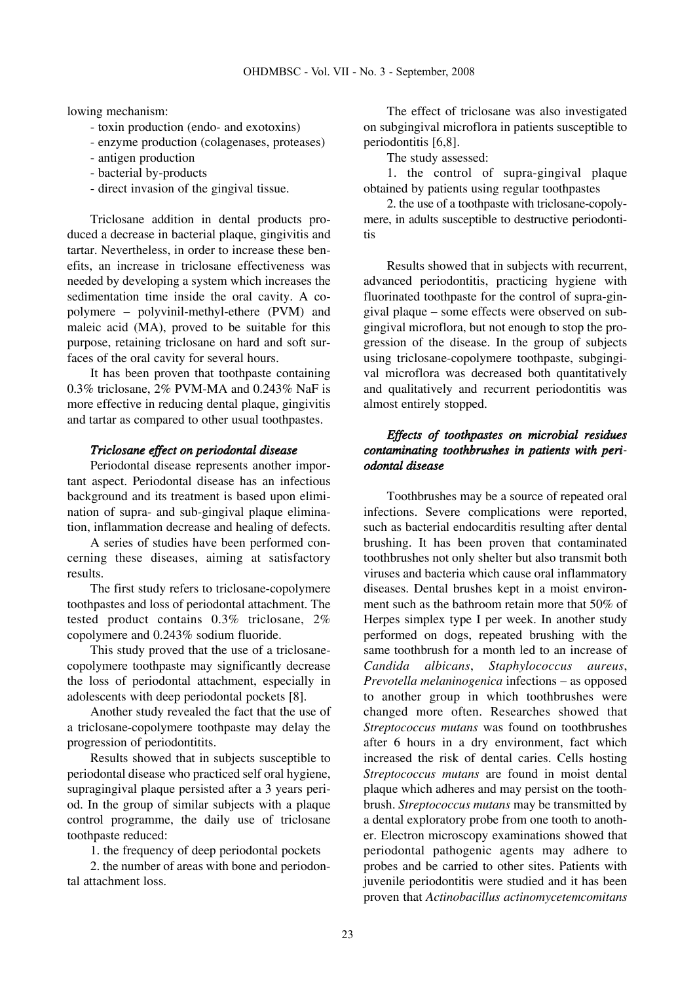lowing mechanism:

- toxin production (endo- and exotoxins)
- enzyme production (colagenases, proteases)
- antigen production
- bacterial by-products
- direct invasion of the gingival tissue.

Triclosane addition in dental products produced a decrease in bacterial plaque, gingivitis and tartar. Nevertheless, in order to increase these benefits, an increase in triclosane effectiveness was needed by developing a system which increases the sedimentation time inside the oral cavity. A copolymere – polyvinil-methyl-ethere (PVM) and maleic acid (MA), proved to be suitable for this purpose, retaining triclosane on hard and soft surfaces of the oral cavity for several hours.

It has been proven that toothpaste containing 0.3% triclosane, 2% PVM-MA and 0.243% NaF is more effective in reducing dental plaque, gingivitis and tartar as compared to other usual toothpastes.

#### *Triclosane effect on periodontal disease*

Periodontal disease represents another important aspect. Periodontal disease has an infectious background and its treatment is based upon elimination of supra- and sub-gingival plaque elimination, inflammation decrease and healing of defects.

A series of studies have been performed concerning these diseases, aiming at satisfactory results.

The first study refers to triclosane-copolymere toothpastes and loss of periodontal attachment. The tested product contains 0.3% triclosane, 2% copolymere and 0.243% sodium fluoride.

This study proved that the use of a triclosanecopolymere toothpaste may significantly decrease the loss of periodontal attachment, especially in adolescents with deep periodontal pockets [8].

Another study revealed the fact that the use of a triclosane-copolymere toothpaste may delay the progression of periodontitits.

Results showed that in subjects susceptible to periodontal disease who practiced self oral hygiene, supragingival plaque persisted after a 3 years period. In the group of similar subjects with a plaque control programme, the daily use of triclosane toothpaste reduced:

1. the frequency of deep periodontal pockets

2. the number of areas with bone and periodontal attachment loss.

The effect of triclosane was also investigated on subgingival microflora in patients susceptible to periodontitis [6,8].

The study assessed:

1. the control of supra-gingival plaque obtained by patients using regular toothpastes

2. the use of a toothpaste with triclosane-copolymere, in adults susceptible to destructive periodontitis

Results showed that in subjects with recurrent, advanced periodontitis, practicing hygiene with fluorinated toothpaste for the control of supra-gingival plaque – some effects were observed on subgingival microflora, but not enough to stop the progression of the disease. In the group of subjects using triclosane-copolymere toothpaste, subgingival microflora was decreased both quantitatively and qualitatively and recurrent periodontitis was almost entirely stopped.

# *Effects of toothpastes on microbial residues contaminating toothbrushes in patients with periodontal disease*

Toothbrushes may be a source of repeated oral infections. Severe complications were reported, such as bacterial endocarditis resulting after dental brushing. It has been proven that contaminated toothbrushes not only shelter but also transmit both viruses and bacteria which cause oral inflammatory diseases. Dental brushes kept in a moist environment such as the bathroom retain more that 50% of Herpes simplex type I per week. In another study performed on dogs, repeated brushing with the same toothbrush for a month led to an increase of *Candida albicans*, *Staphylococcus aureus*, *Prevotella melaninogenica* infections – as opposed to another group in which toothbrushes were changed more often. Researches showed that *Streptococcus mutans* was found on toothbrushes after 6 hours in a dry environment, fact which increased the risk of dental caries. Cells hosting *Streptococcus mutans* are found in moist dental plaque which adheres and may persist on the toothbrush. *Streptococcus mutans* may be transmitted by a dental exploratory probe from one tooth to another. Electron microscopy examinations showed that periodontal pathogenic agents may adhere to probes and be carried to other sites. Patients with juvenile periodontitis were studied and it has been proven that *Actinobacillus actinomycetemcomitans*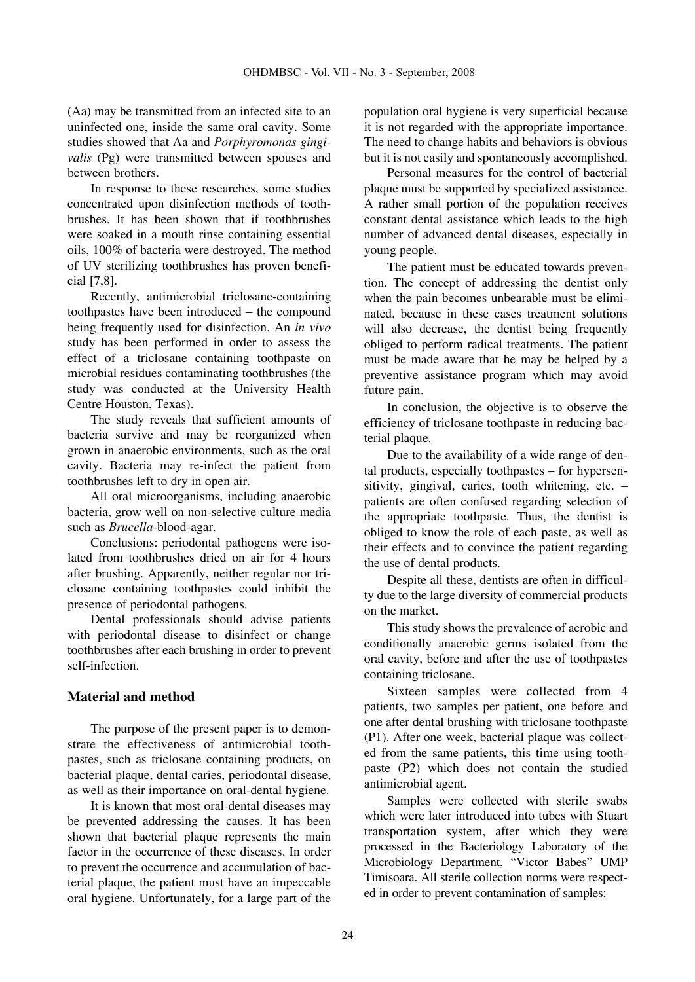(Aa) may be transmitted from an infected site to an uninfected one, inside the same oral cavity. Some studies showed that Aa and *Porphyromonas gingivalis* (Pg) were transmitted between spouses and between brothers.

In response to these researches, some studies concentrated upon disinfection methods of toothbrushes. It has been shown that if toothbrushes were soaked in a mouth rinse containing essential oils, 100% of bacteria were destroyed. The method of UV sterilizing toothbrushes has proven beneficial [7,8].

Recently, antimicrobial triclosane-containing toothpastes have been introduced – the compound being frequently used for disinfection. An *in vivo* study has been performed in order to assess the effect of a triclosane containing toothpaste on microbial residues contaminating toothbrushes (the study was conducted at the University Health Centre Houston, Texas).

The study reveals that sufficient amounts of bacteria survive and may be reorganized when grown in anaerobic environments, such as the oral cavity. Bacteria may re-infect the patient from toothbrushes left to dry in open air.

All oral microorganisms, including anaerobic bacteria, grow well on non-selective culture media such as *Brucella*-blood-agar.

Conclusions: periodontal pathogens were isolated from toothbrushes dried on air for 4 hours after brushing. Apparently, neither regular nor triclosane containing toothpastes could inhibit the presence of periodontal pathogens.

Dental professionals should advise patients with periodontal disease to disinfect or change toothbrushes after each brushing in order to prevent self-infection.

## **Material and method**

The purpose of the present paper is to demonstrate the effectiveness of antimicrobial toothpastes, such as triclosane containing products, on bacterial plaque, dental caries, periodontal disease, as well as their importance on oral-dental hygiene.

It is known that most oral-dental diseases may be prevented addressing the causes. It has been shown that bacterial plaque represents the main factor in the occurrence of these diseases. In order to prevent the occurrence and accumulation of bacterial plaque, the patient must have an impeccable oral hygiene. Unfortunately, for a large part of the population oral hygiene is very superficial because it is not regarded with the appropriate importance. The need to change habits and behaviors is obvious but it is not easily and spontaneously accomplished.

Personal measures for the control of bacterial plaque must be supported by specialized assistance. A rather small portion of the population receives constant dental assistance which leads to the high number of advanced dental diseases, especially in young people.

The patient must be educated towards prevention. The concept of addressing the dentist only when the pain becomes unbearable must be eliminated, because in these cases treatment solutions will also decrease, the dentist being frequently obliged to perform radical treatments. The patient must be made aware that he may be helped by a preventive assistance program which may avoid future pain.

In conclusion, the objective is to observe the efficiency of triclosane toothpaste in reducing bacterial plaque.

Due to the availability of a wide range of dental products, especially toothpastes – for hypersensitivity, gingival, caries, tooth whitening, etc. – patients are often confused regarding selection of the appropriate toothpaste. Thus, the dentist is obliged to know the role of each paste, as well as their effects and to convince the patient regarding the use of dental products.

Despite all these, dentists are often in difficulty due to the large diversity of commercial products on the market.

This study shows the prevalence of aerobic and conditionally anaerobic germs isolated from the oral cavity, before and after the use of toothpastes containing triclosane.

Sixteen samples were collected from 4 patients, two samples per patient, one before and one after dental brushing with triclosane toothpaste (P1). After one week, bacterial plaque was collected from the same patients, this time using toothpaste (P2) which does not contain the studied antimicrobial agent.

Samples were collected with sterile swabs which were later introduced into tubes with Stuart transportation system, after which they were processed in the Bacteriology Laboratory of the Microbiology Department, "Victor Babes" UMP Timisoara. All sterile collection norms were respected in order to prevent contamination of samples: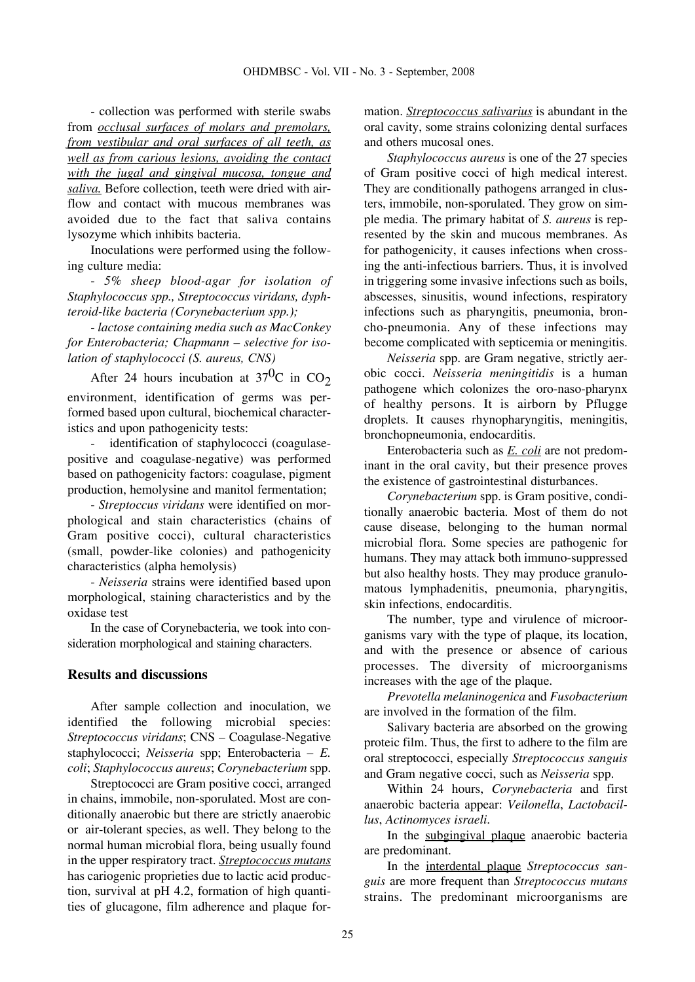- collection was performed with sterile swabs from *occlusal surfaces of molars and premolars, from vestibular and oral surfaces of all teeth, as well as from carious lesions, avoiding the contact with the jugal and gingival mucosa, tongue and saliva.* Before collection, teeth were dried with airflow and contact with mucous membranes was avoided due to the fact that saliva contains lysozyme which inhibits bacteria.

Inoculations were performed using the following culture media:

- *5% sheep blood-agar for isolation of Staphylococcus spp., Streptococcus viridans, dyphteroid-like bacteria (Corynebacterium spp.);*

- *lactose containing media such as MacConkey for Enterobacteria; Chapmann – selective for isolation of staphylococci (S. aureus, CNS)*

After 24 hours incubation at  $37^{0}$ C in CO<sub>2</sub> environment, identification of germs was performed based upon cultural, biochemical characteristics and upon pathogenicity tests:

identification of staphylococci (coagulasepositive and coagulase-negative) was performed based on pathogenicity factors: coagulase, pigment production, hemolysine and manitol fermentation;

- *Streptoccus viridans* were identified on morphological and stain characteristics (chains of Gram positive cocci), cultural characteristics (small, powder-like colonies) and pathogenicity characteristics (alpha hemolysis)

- *Neisseria* strains were identified based upon morphological, staining characteristics and by the oxidase test

In the case of Corynebacteria, we took into consideration morphological and staining characters.

### **Results and discussions**

After sample collection and inoculation, we identified the following microbial species: *Streptococcus viridans*; CNS – Coagulase-Negative staphylococci; *Neisseria* spp; Enterobacteria – *E. coli*; *Staphylococcus aureus*; *Corynebacterium* spp.

Streptococci are Gram positive cocci, arranged in chains, immobile, non-sporulated. Most are conditionally anaerobic but there are strictly anaerobic or air-tolerant species, as well. They belong to the normal human microbial flora, being usually found in the upper respiratory tract. *Streptococcus mutans* has cariogenic proprieties due to lactic acid production, survival at pH 4.2, formation of high quantities of glucagone, film adherence and plaque formation. *Streptococcus salivarius* is abundant in the oral cavity, some strains colonizing dental surfaces and others mucosal ones.

*Staphylococcus aureus* is one of the 27 species of Gram positive cocci of high medical interest. They are conditionally pathogens arranged in clusters, immobile, non-sporulated. They grow on simple media. The primary habitat of *S. aureus* is represented by the skin and mucous membranes. As for pathogenicity, it causes infections when crossing the anti-infectious barriers. Thus, it is involved in triggering some invasive infections such as boils, abscesses, sinusitis, wound infections, respiratory infections such as pharyngitis, pneumonia, broncho-pneumonia. Any of these infections may become complicated with septicemia or meningitis.

*Neisseria* spp. are Gram negative, strictly aerobic cocci. *Neisseria meningitidis* is a human pathogene which colonizes the oro-naso-pharynx of healthy persons. It is airborn by Pflugge droplets. It causes rhynopharyngitis, meningitis, bronchopneumonia, endocarditis.

Enterobacteria such as *E. coli* are not predominant in the oral cavity, but their presence proves the existence of gastrointestinal disturbances.

*Corynebacterium* spp. is Gram positive, conditionally anaerobic bacteria. Most of them do not cause disease, belonging to the human normal microbial flora. Some species are pathogenic for humans. They may attack both immuno-suppressed but also healthy hosts. They may produce granulomatous lymphadenitis, pneumonia, pharyngitis, skin infections, endocarditis.

The number, type and virulence of microorganisms vary with the type of plaque, its location, and with the presence or absence of carious processes. The diversity of microorganisms increases with the age of the plaque.

*Prevotella melaninogenica* and *Fusobacterium* are involved in the formation of the film.

Salivary bacteria are absorbed on the growing proteic film. Thus, the first to adhere to the film are oral streptococci, especially *Streptococcus sanguis* and Gram negative cocci, such as *Neisseria* spp.

Within 24 hours, *Corynebacteria* and first anaerobic bacteria appear: *Veilonella*, *Lactobacillus*, *Actinomyces israeli*.

In the subgingival plaque anaerobic bacteria are predominant.

In the interdental plaque *Streptococcus sanguis* are more frequent than *Streptococcus mutans* strains. The predominant microorganisms are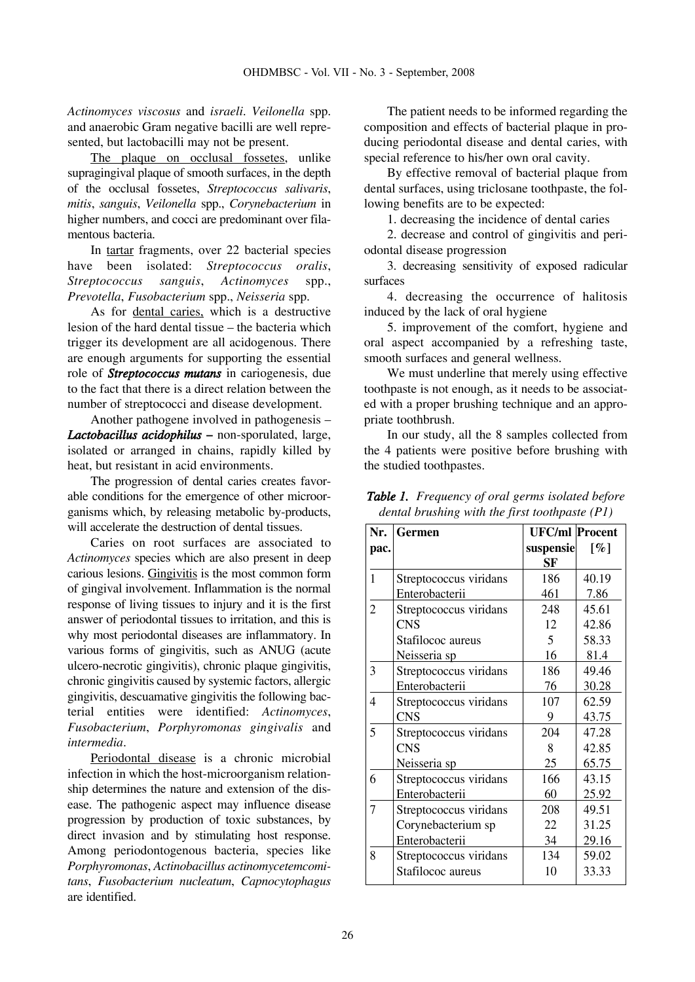*Actinomyces viscosus* and *israeli*. *Veilonella* spp. and anaerobic Gram negative bacilli are well represented, but lactobacilli may not be present.

The plaque on occlusal fossetes, unlike supragingival plaque of smooth surfaces, in the depth of the occlusal fossetes, *Streptococcus salivaris*, *mitis*, *sanguis*, *Veilonella* spp., *Corynebacterium* in higher numbers, and cocci are predominant over filamentous bacteria.

In tartar fragments, over 22 bacterial species have been isolated: *Streptococcus oralis*, *Streptococcus sanguis*, *Actinomyces* spp., *Prevotella*, *Fusobacterium* spp., *Neisseria* spp.

As for dental caries, which is a destructive lesion of the hard dental tissue – the bacteria which trigger its development are all acidogenous. There are enough arguments for supporting the essential role of *Streptococcus mutans* in cariogenesis, due to the fact that there is a direct relation between the number of streptococci and disease development.

Another pathogene involved in pathogenesis – *Lactobacillus acidophilus* **–** non-sporulated, large, isolated or arranged in chains, rapidly killed by heat, but resistant in acid environments.

The progression of dental caries creates favorable conditions for the emergence of other microorganisms which, by releasing metabolic by-products, will accelerate the destruction of dental tissues.

Caries on root surfaces are associated to *Actinomyces* species which are also present in deep carious lesions. Gingivitis is the most common form of gingival involvement. Inflammation is the normal response of living tissues to injury and it is the first answer of periodontal tissues to irritation, and this is why most periodontal diseases are inflammatory. In various forms of gingivitis, such as ANUG (acute ulcero-necrotic gingivitis), chronic plaque gingivitis, chronic gingivitis caused by systemic factors, allergic gingivitis, descuamative gingivitis the following bacterial entities were identified: *Actinomyces*, *Fusobacterium*, *Porphyromonas gingivalis* and *intermedia*.

Periodontal disease is a chronic microbial infection in which the host-microorganism relationship determines the nature and extension of the disease. The pathogenic aspect may influence disease progression by production of toxic substances, by direct invasion and by stimulating host response. Among periodontogenous bacteria, species like *Porphyromonas*, *Actinobacillus actinomycetemcomitans*, *Fusobacterium nucleatum*, *Capnocytophagus* are identified.

The patient needs to be informed regarding the composition and effects of bacterial plaque in producing periodontal disease and dental caries, with special reference to his/her own oral cavity.

By effective removal of bacterial plaque from dental surfaces, using triclosane toothpaste, the following benefits are to be expected:

1. decreasing the incidence of dental caries

2. decrease and control of gingivitis and periodontal disease progression

3. decreasing sensitivity of exposed radicular surfaces

4. decreasing the occurrence of halitosis induced by the lack of oral hygiene

5. improvement of the comfort, hygiene and oral aspect accompanied by a refreshing taste, smooth surfaces and general wellness.

We must underline that merely using effective toothpaste is not enough, as it needs to be associated with a proper brushing technique and an appropriate toothbrush.

In our study, all the 8 samples collected from the 4 patients were positive before brushing with the studied toothpastes.

| Nr.            | <b>Germen</b>          | <b>UFC/ml</b> Procent |                    |
|----------------|------------------------|-----------------------|--------------------|
| pac.           |                        | suspensie             | $\lceil \% \rceil$ |
|                |                        | SF                    |                    |
| $\mathbf{1}$   | Streptococcus viridans | 186                   | 40.19              |
|                | Enterobacterii         | 461                   | 7.86               |
| $\overline{2}$ | Streptococcus viridans | 248                   | 45.61              |
|                | <b>CNS</b>             | 12                    | 42.86              |
|                | Stafilococ aureus      | 5                     | 58.33              |
|                | Neisseria sp           | 16                    | 81.4               |
| 3              | Streptococcus viridans | 186                   | 49.46              |
|                | Enterobacterii         | 76                    | 30.28              |
| $\overline{4}$ | Streptococcus viridans | 107                   | 62.59              |
|                | <b>CNS</b>             | 9                     | 43.75              |
| 5              | Streptococcus viridans | 204                   | 47.28              |
|                | <b>CNS</b>             | 8                     | 42.85              |
|                | Neisseria sp           | 25                    | 65.75              |
| 6              | Streptococcus viridans | 166                   | 43.15              |
|                | Enterobacterii         | 60                    | 25.92              |
| $\overline{7}$ | Streptococcus viridans | 208                   | 49.51              |
|                | Corynebacterium sp     | 22                    | 31.25              |
|                | Enterobacterii         | 34                    | 29.16              |
| 8              | Streptococcus viridans | 134                   | 59.02              |
|                | Stafilococ aureus      | 10                    | 33.33              |

*Table 1. Frequency of oral germs isolated before dental brushing with the first toothpaste (P1)*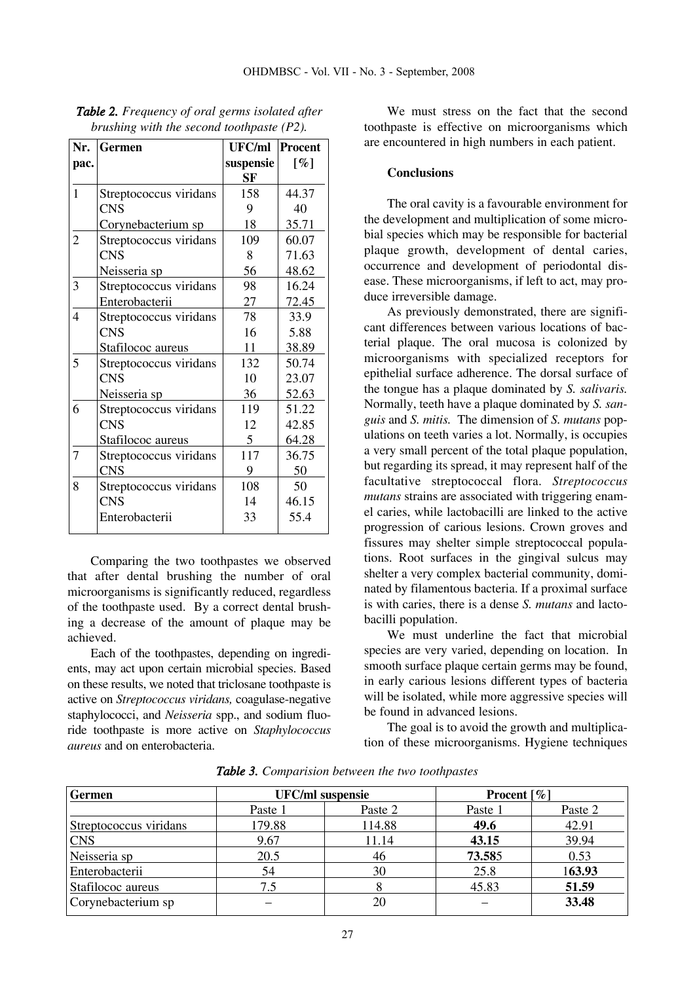| Nr.                      | <b>Germen</b>          | <b>UFC/ml</b> | Procent              |
|--------------------------|------------------------|---------------|----------------------|
| pac.                     |                        | suspensie     | $\lbrack \% \rbrack$ |
|                          |                        | <b>SF</b>     |                      |
| 1                        | Streptococcus viridans | 158           | 44.37                |
|                          | <b>CNS</b>             | 9             | 40                   |
|                          | Corynebacterium sp     | 18            | 35.71                |
| $\overline{2}$           | Streptococcus viridans | 109           | 60.07                |
|                          | <b>CNS</b>             | 8             | 71.63                |
|                          | <u>Neisseria sp</u>    | 56            | 48.62                |
| 3                        | Streptococcus viridans | 98            | 16.24                |
|                          | Enterobacterii         | 27            | 72.45                |
| $\overline{\mathcal{L}}$ | Streptococcus viridans | 78            | 33.9                 |
|                          | <b>CNS</b>             | 16            | 5.88                 |
|                          | Stafilococ aureus      | 11            | 38.89                |
| 5                        | Streptococcus viridans | 132           | 50.74                |
|                          | <b>CNS</b>             | 10            | 23.07                |
|                          | Neisseria sp           | 36            | 52.63                |
| 6                        | Streptococcus viridans | 119           | 51.22                |
|                          | <b>CNS</b>             | 12            | 42.85                |
|                          | Stafilococ aureus      | 5             | 64.28                |
| 7                        | Streptococcus viridans | 117           | 36.75                |
|                          | <b>CNS</b>             | 9             | 50                   |
| 8                        | Streptococcus viridans | 108           | 50                   |
|                          | <b>CNS</b>             | 14            | 46.15                |
|                          | Enterobacterii         | 33            | 55.4                 |

*Table 2. Frequency of oral germs isolated after brushing with the second toothpaste (P2).*

Comparing the two toothpastes we observed that after dental brushing the number of oral microorganisms is significantly reduced, regardless of the toothpaste used. By a correct dental brushing a decrease of the amount of plaque may be achieved.

Each of the toothpastes, depending on ingredients, may act upon certain microbial species. Based on these results, we noted that triclosane toothpaste is active on *Streptococcus viridans,* coagulase-negative staphylococci, and *Neisseria* spp., and sodium fluoride toothpaste is more active on *Staphylococcus aureus* and on enterobacteria.

We must stress on the fact that the second toothpaste is effective on microorganisms which are encountered in high numbers in each patient.

### **Conclusions**

The oral cavity is a favourable environment for the development and multiplication of some microbial species which may be responsible for bacterial plaque growth, development of dental caries, occurrence and development of periodontal disease. These microorganisms, if left to act, may produce irreversible damage.

As previously demonstrated, there are significant differences between various locations of bacterial plaque. The oral mucosa is colonized by microorganisms with specialized receptors for epithelial surface adherence. The dorsal surface of the tongue has a plaque dominated by *S. salivaris.* Normally, teeth have a plaque dominated by *S. sanguis* and *S. mitis.* The dimension of *S. mutans* populations on teeth varies a lot. Normally, is occupies a very small percent of the total plaque population, but regarding its spread, it may represent half of the facultative streptococcal flora. *Streptococcus mutans* strains are associated with triggering enamel caries, while lactobacilli are linked to the active progression of carious lesions. Crown groves and fissures may shelter simple streptococcal populations. Root surfaces in the gingival sulcus may shelter a very complex bacterial community, dominated by filamentous bacteria. If a proximal surface is with caries, there is a dense *S. mutans* and lactobacilli population.

We must underline the fact that microbial species are very varied, depending on location. In smooth surface plaque certain germs may be found, in early carious lesions different types of bacteria will be isolated, while more aggressive species will be found in advanced lesions.

The goal is to avoid the growth and multiplication of these microorganisms. Hygiene techniques

| <b>Germen</b>          | <b>UFC/ml</b> suspensie |         | <b>Procent</b> $[\%]$ |         |
|------------------------|-------------------------|---------|-----------------------|---------|
|                        | Paste 1                 | Paste 2 | Paste 1               | Paste 2 |
| Streptococcus viridans | 179.88                  | 114.88  | 49.6                  | 42.91   |
| <b>CNS</b>             | 9.67                    | 11.14   | 43.15                 | 39.94   |
| Neisseria sp           | 20.5                    | 46      | 73.585                | 0.53    |
| Enterobacterii         | 54                      | 30      | 25.8                  | 163.93  |
| Stafilococ aureus      | 7.5                     |         | 45.83                 | 51.59   |
| Corynebacterium sp     |                         | 20      |                       | 33.48   |

*Table 3. Comparision between the two toothpastes*